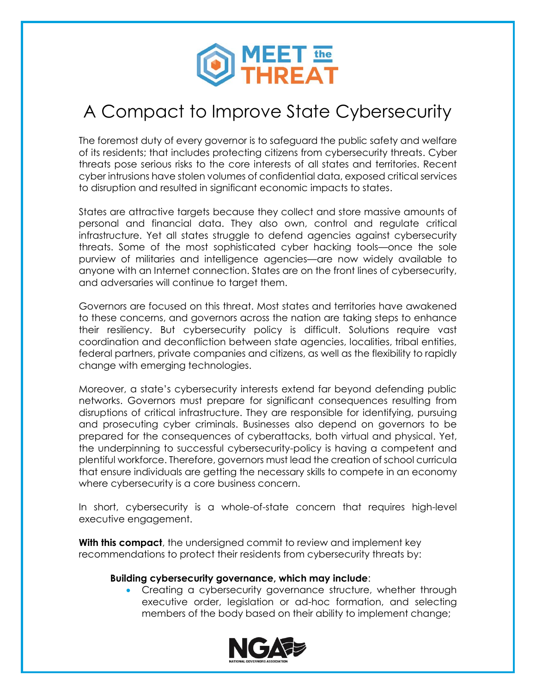

## A Compact to Improve State Cybersecurity

The foremost duty of every governor is to safeguard the public safety and welfare of its residents; that includes protecting citizens from cybersecurity threats. Cyber threats pose serious risks to the core interests of all states and territories. Recent cyber intrusions have stolen volumes of confidential data, exposed critical services to disruption and resulted in significant economic impacts to states.

States are attractive targets because they collect and store massive amounts of personal and financial data. They also own, control and regulate critical infrastructure. Yet all states struggle to defend agencies against cybersecurity threats. Some of the most sophisticated cyber hacking tools—once the sole purview of militaries and intelligence agencies—are now widely available to anyone with an Internet connection. States are on the front lines of cybersecurity, and adversaries will continue to target them.

Governors are focused on this threat. Most states and territories have awakened to these concerns, and governors across the nation are taking steps to enhance their resiliency. But cybersecurity policy is difficult. Solutions require vast coordination and deconfliction between state agencies, localities, tribal entities, federal partners, private companies and citizens, as well as the flexibility to rapidly change with emerging technologies.

Moreover, a state's cybersecurity interests extend far beyond defending public networks. Governors must prepare for significant consequences resulting from disruptions of critical infrastructure. They are responsible for identifying, pursuing and prosecuting cyber criminals. Businesses also depend on governors to be prepared for the consequences of cyberattacks, both virtual and physical. Yet, the underpinning to successful cybersecurity-policy is having a competent and plentiful workforce. Therefore, governors must lead the creation of school curricula that ensure individuals are getting the necessary skills to compete in an economy where cybersecurity is a core business concern.

In short, cybersecurity is a whole-of-state concern that requires high-level executive engagement.

**With this compact**, the undersigned commit to review and implement key recommendations to protect their residents from cybersecurity threats by:

## **Building cybersecurity governance, which may include**:

 Creating a cybersecurity governance structure, whether through executive order, legislation or ad-hoc formation, and selecting members of the body based on their ability to implement change;